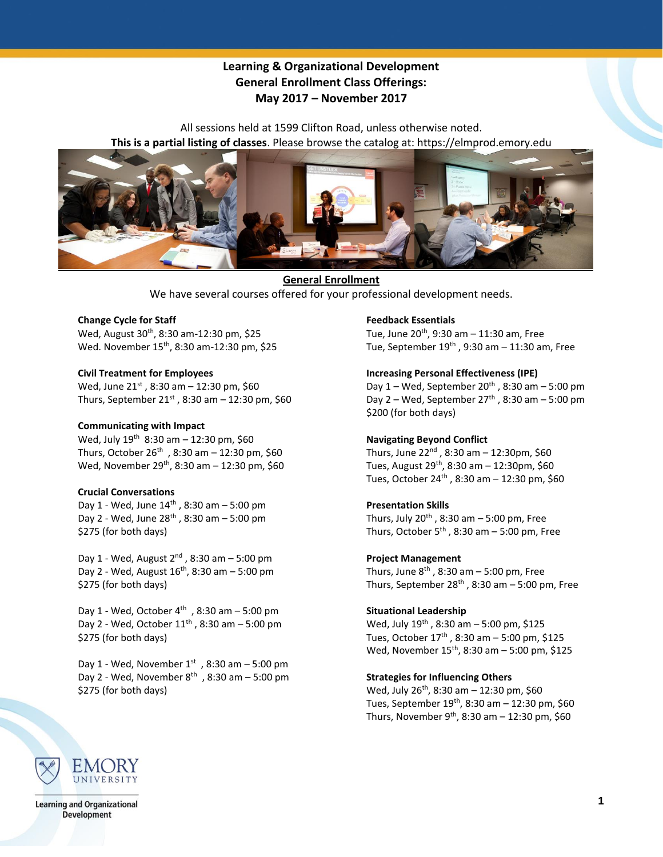# **Learning & Organizational Development General Enrollment Class Offerings: May 2017 – November 2017**

All sessions held at 1599 Clifton Road, unless otherwise noted. **This is a partial listing of classes**. Please browse the catalog at: https://elmprod.emory.edu



**General Enrollment** We have several courses offered for your professional development needs.

# **Change Cycle for Staff**

Wed, August 30<sup>th</sup>, 8:30 am-12:30 pm, \$25 Wed. November 15th , 8:30 am-12:30 pm, \$25

#### **Civil Treatment for Employees**

Wed, June  $21^{st}$ , 8:30 am - 12:30 pm, \$60 Thurs, September  $21^{st}$ , 8:30 am - 12:30 pm, \$60

#### **Communicating with Impact**

Wed, July  $19^{th}$  8:30 am - 12:30 pm, \$60 Thurs, October  $26^{th}$ , 8:30 am - 12:30 pm, \$60 Wed, November 29<sup>th</sup>, 8:30 am – 12:30 pm, \$60

## **Crucial Conversations**

Day 1 - Wed, June  $14^{th}$ , 8:30 am  $-5:00$  pm Day 2 - Wed, June  $28^{th}$ , 8:30 am  $-5:00$  pm \$275 (for both days)

Day 1 - Wed, August  $2^{nd}$ , 8:30 am  $-5:00$  pm Day 2 - Wed, August  $16^{th}$ , 8:30 am - 5:00 pm \$275 (for both days)

Day 1 - Wed, October 4<sup>th</sup>, 8:30 am – 5:00 pm Day 2 - Wed, October 11th , 8:30 am – 5:00 pm \$275 (for both days)

Day 1 - Wed, November  $1^{st}$ , 8:30 am – 5:00 pm Day 2 - Wed, November  $8^{th}$ , 8:30 am - 5:00 pm \$275 (for both days)

## **Feedback Essentials**

Tue, June 20th , 9:30 am – 11:30 am, Free Tue, September  $19<sup>th</sup>$ , 9:30 am - 11:30 am, Free

## **Increasing Personal Effectiveness (IPE)**

Day  $1$  – Wed, September  $20<sup>th</sup>$ , 8:30 am – 5:00 pm Day  $2$  – Wed, September  $27<sup>th</sup>$ , 8:30 am – 5:00 pm \$200 (for both days)

## **Navigating Beyond Conflict**

Thurs, June 22nd , 8:30 am – 12:30pm, \$60 Tues, August 29<sup>th</sup>, 8:30 am – 12:30pm, \$60 Tues, October 24th , 8:30 am – 12:30 pm, \$60

## **Presentation Skills**

Thurs, July  $20^{th}$ , 8:30 am  $-5:00$  pm, Free Thurs, October  $5<sup>th</sup>$ , 8:30 am – 5:00 pm, Free

#### **Project Management**

Thurs, June  $8<sup>th</sup>$ , 8:30 am  $-5:00$  pm, Free Thurs, September  $28<sup>th</sup>$ , 8:30 am - 5:00 pm, Free

## **Situational Leadership**

Wed, July 19th , 8:30 am – 5:00 pm, \$125 Tues, October 17th , 8:30 am – 5:00 pm, \$125 Wed, November 15<sup>th</sup>, 8:30 am - 5:00 pm, \$125

## **Strategies for Influencing Others**

Wed, July 26<sup>th</sup>, 8:30 am - 12:30 pm, \$60 Tues, September 19<sup>th</sup>, 8:30 am – 12:30 pm, \$60 Thurs, November 9<sup>th</sup>, 8:30 am – 12:30 pm, \$60



**Learning and Organizational Development**